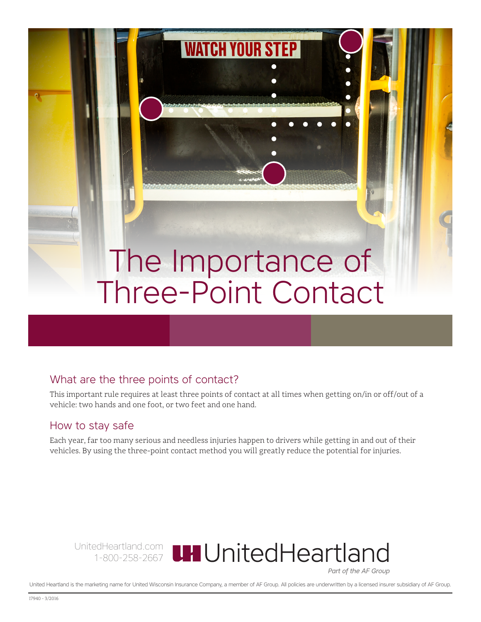## The Importance of Three-Point Contact

**WATCH YOUR STEP** 

## What are the three points of contact?

This important rule requires at least three points of contact at all times when getting on/in or off/out of a vehicle: two hands and one foot, or two feet and one hand.

## How to stay safe

Each year, far too many serious and needless injuries happen to drivers while getting in and out of their vehicles. By using the three-point contact method you will greatly reduce the potential for injuries.



Part of the AF Group

United Heartland is the marketing name for United Wisconsin Insurance Company, a member of AF Group. All policies are underwritten by a licensed insurer subsidiary of AF Group.